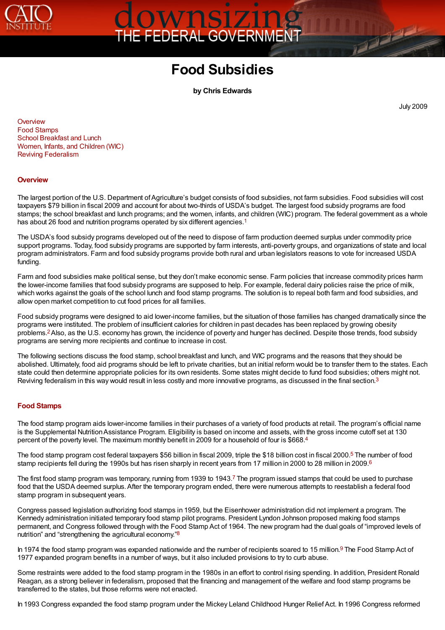

# OWNSIZING<br>EFEDERAL GOVERNMENT

# **Food Subsidies**

<span id="page-0-3"></span><span id="page-0-2"></span>**by Chris Edwards**

<span id="page-0-5"></span>July 2009

**The College of the College of the College of the College of the College of the College of the Col** 

**[Overview](#page-0-0)** [Food Stamps](#page-0-1) [School Breakfast and Lunch](#page-1-0) [Women, Infants, and Children \(WIC\)](#page-2-0) [Reviving Federalism](#page-2-1)

## <span id="page-0-0"></span>**[Overview](#page-0-2)**

The largest portion of the U.S. Department of Agriculture's budget consists of food subsidies, not farm subsidies. Food subsidies will cost taxpayers \$79 billion in fiscal 2009 and account for about two-thirds of USDA's budget. The largest food subsidy programs are food stamps; the school breakfast and lunch programs; and the women, infants, and children (WIC) program. The federal government as a whole has about 26 food and nutrition programs operated by six different agencies.<sup>[1](#page-3-0)</sup>

The USDA's food subsidy programs developed out of the need to dispose of farm production deemed surplus under commodity price support programs. Today, food subsidy programs are supported by farm interests, anti-poverty groups, and organizations of state and local program administrators. Farm and food subsidy programs provide both rural and urban legislators reasons to vote for increased USDA funding.

Farm and food subsidies make political sense, but they don't make economic sense. Farm policies that increase commodity prices harm the lower-income families that food subsidy programs are supposed to help. For example, federal dairy policies raise the price of milk, which works against the goals of the school lunch and food stamp programs. The solution is to repeal both farm and food subsidies, and allow open market competition to cut food prices for all families.

<span id="page-0-4"></span>Food subsidy programs were designed to aid lower-income families, but the situation of those families has changed dramatically since the programs were instituted. The problem of insufficient calories for children in past decades has been replaced by growing obesity problems[.](#page-3-1) Also, as the U.S. economy has grown, the incidence of poverty and hunger has declined. Despite those trends, food subsidy 2 programs are serving more recipients and continue to increase in cost.

The following sections discuss the food stamp, school breakfast and lunch, and WIC programs and the reasons that they should be abolished. Ultimately, food aid programs should be left to private charities, but an initial reform would be to transfer them to the states. Each state could then determine appropriate policies for its own residents. Some states might decide to fund food subsidies; others might not. Reviving federalism in this way would result in less costly and more innovative programs, as discussed in the final section.<sup>[3](#page-3-2)</sup>

## <span id="page-0-1"></span>**[Food Stamps](#page-0-2)**

The food stamp program aids lower-income families in their purchases of a variety of food products at retail. The program's official name is the Supplemental Nutrition Assistance Program. Eligibility is based on income and assets, with the gross income cutoff set at 130 percent of the poverty level. The maximum monthly benefit in 2009 for a household of four is \$668.[4](#page-3-3)

<span id="page-0-8"></span><span id="page-0-7"></span><span id="page-0-6"></span>The food stamp program cost federal taxpayers \$56 billion in fiscal 2009, triple the \$18 billion cost in fiscal 2000[.](#page-3-4)<sup>5</sup> The number of food stamp recipients fell during the 1990s but has risen sharply in recent years from 17 million in 2000 to 28 million in 2009.<sup>[6](#page-3-5)</sup>

<span id="page-0-9"></span>The first food stamp program was temporary, running from 1939 to 1943[.](#page-3-6)<sup>7</sup> The program issued stamps that could be used to purchase food that the USDA deemed surplus. After the temporary program ended, there were numerous attempts to reestablish a federal food stamp program in subsequent years.

Congress passed legislation authorizing food stamps in 1959, but the Eisenhower administration did not implement a program. The Kennedy administration initiated temporary food stamp pilot programs. President Lyndon Johnson proposed making food stamps permanent, and Congress followed through with the Food Stamp Act of 1964. The new program had the dual goals of "improved levels of nutrition" and "strengthening the agricultural economy."<sup>[8](#page-3-7)</sup>

<span id="page-0-11"></span><span id="page-0-10"></span>In 1974 the food stamp program was expanded nationwide and the number of recipients soared to 15 million[.](#page-3-8)<sup>9</sup> The Food Stamp Act of 1977 expanded program benefits in a number of ways, but it also included provisions to try to curb abuse.

Some restraints were added to the food stamp program in the 1980s in an effort to control rising spending. In addition, President Ronald Reagan, as a strong believer in federalism, proposed that the financing and management of the welfare and food stamp programs be transferred to the states, but those reforms were not enacted.

In 1993 Congress expanded the food stamp program under the Mickey Leland Childhood Hunger Relief Act. In 1996 Congress reformed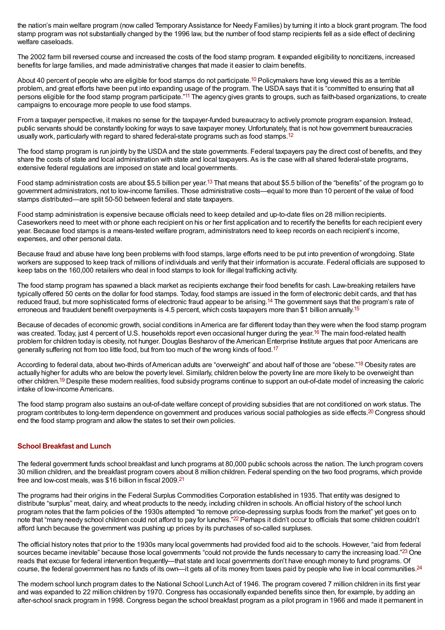the nation's main welfare program (now called Temporary Assistance for Needy Families) by turning it into a block grant program. The food stamp program was not substantially changed by the 1996 law, but the number of food stamp recipients fell as a side effect of declining welfare caseloads.

The 2002 farm bill reversed course and increased the costs of the food stamp program. It expanded eligibility to noncitizens, increased benefits for large families, and made administrative changes that made it easier to claim benefits.

<span id="page-1-2"></span><span id="page-1-1"></span>About 40 percent of people who are eligible for food stamps do not participate.<sup>[10](#page-3-9)</sup> Policymakers have long viewed this as a terrible problem, and great efforts have been put into expanding usage of the program. The USDA says that it is "committed to ensuring that all persons eligible for the food stamp program participate.["](#page-3-10)<sup>11</sup> The agency gives grants to groups, such as faith-based organizations, to create campaigns to encourage more people to use food stamps.

<span id="page-1-3"></span>From a taxpayer perspective, it makes no sense for the taxpayer-funded bureaucracy to actively promote program expansion. Instead, public servants should be constantly looking for ways to save taxpayer money. Unfortunately, that is not how government bureaucracies usually work, particularly with regard to shared federal-state programs such as food stamps.<sup>[12](#page-3-11)</sup>

The food stamp program is run jointly by the USDA and the state governments. Federal taxpayers pay the direct cost of benefits, and they share the costs of state and local administration with state and local taxpayers. As is the case with all shared federal-state programs, extensive federal regulations are imposed on state and local governments.

<span id="page-1-4"></span>Food stamp administration costs are about \$5[.](#page-3-12)5 billion per year.<sup>13</sup> That means that about \$5.5 billion of the "benefits" of the program go to government administrators, not to low-income families. Those administrative costs—equal to more than 10 percent of the value of food stamps distributed—are split 50-50 between federal and state taxpayers.

Food stamp administration is expensive because officials need to keep detailed and up-to-date files on 28 million recipients. Caseworkers need to meet with or phone each recipient on his or her first application and to recertify the benefits for each recipient every year. Because food stamps is a means-tested welfare program, administrators need to keep records on each recipient's income, expenses, and other personal data.

Because fraud and abuse have long been problems with food stamps, large efforts need to be put into prevention of wrongdoing. State workers are supposed to keep track of millions of individuals and verify that their information is accurate. Federal officials are supposed to keep tabs on the 160,000 retailers who deal in food stamps to look for illegal trafficking activity.

<span id="page-1-5"></span>The food stamp program has spawned a black market as recipients exchange their food benefits for cash. Law-breaking retailers have typically offered 50 cents on the dollar for food stamps. Today, food stamps are issued in the form of electronic debit cards, and that has reduced fraud, but more sophisticated forms of electronic fraud appear to be arising.<sup>[14](#page-3-13)</sup> The government says that the program's rate of erroneous and fraudulent benefit overpayments is 4.5 percent, which costs taxpayers more than \$1 billion annually.<sup>[15](#page-3-14)</sup>

<span id="page-1-7"></span><span id="page-1-6"></span>Because of decades of economic growth, social conditions in America are far different today than they were when the food stamp program was created. Today, just 4 percent of U.S. households report even occasional hunger during the year.<sup>[16](#page-3-15)</sup> The main food-related health problem for children today is obesity, not hunger. Douglas Besharov of the American Enterprise Institute argues that poor Americans are generally suffering not from too little food, but from too much of the wrong kinds of food.<sup>[17](#page-3-16)</sup>

<span id="page-1-10"></span><span id="page-1-9"></span><span id="page-1-8"></span>According to federal data, about two-thirds of American adults are "overweight" and about half of those are "obese."<sup>[18](#page-4-0)</sup> Obesity rates are actually higher for adults who are below the poverty level. Similarly, children below the poverty line are more likely to be overweight than other children.<sup>[19](#page-4-1)</sup> Despite these modern realities, food subsidy programs continue to support an out-of-date model of increasing the caloric intake of low-income Americans.

<span id="page-1-11"></span>The food stamp program also sustains an out-of-date welfare concept of providing subsidies that are not conditioned on work status. The program contributes to long-term dependence on government and produces various social pathologies as side effects.<sup>[20](#page-4-2)</sup> Congress should end the food stamp program and allow the states to set their own policies.

# <span id="page-1-0"></span>**[School Breakfast and Lunch](#page-0-2)**

<span id="page-1-12"></span>The federal government funds school breakfast and lunch programs at 80,000 public schools across the nation. The lunch program covers 30 million children, and the breakfast program covers about 8 million children. Federal spending on the two food programs, which provide free and low-cost meals, was \$16 billion in fiscal 2009.<sup>[21](#page-4-3)</sup>

<span id="page-1-13"></span>The programs had their origins in the Federal Surplus Commodities Corporation established in 1935. That entity was designed to distribute "surplus" meat, dairy, and wheat products to the needy, including children in schools. An official history of the school lunch program notes that the farm policies of the 1930s attempted "to remove price-depressing surplus foods from the market" yet goes on to note that "many needy school children could not afford to pay for lunches."<sup>[22](#page-4-4)</sup> Perhaps it didn't occur to officials that some children couldn't afford lunch because the government was pushing up prices by its purchases of so-called surpluses.

<span id="page-1-14"></span>The official history notes that prior to the 1930s many local governments had provided food aid to the schools. However, "aid from federal sources became inevitable" because those local governments "could not provide the funds necessary to carry the increasing load."<sup>[23](#page-4-5)</sup> One reads that excuse for federal intervention frequently—that state and local governments don't have enough money to fund programs. Of course, the federal government has no funds of its own—it gets all of its money from taxes paid by people who live in local communities.<sup>[24](#page-4-6)</sup>

<span id="page-1-15"></span>The modern school lunch program dates to the National School Lunch Act of 1946. The program covered 7 million children in its first year and was expanded to 22 million children by 1970. Congress has occasionally expanded benefits since then, for example, by adding an after-school snack program in 1998. Congress began the school breakfast program as a pilot program in 1966 and made it permanent in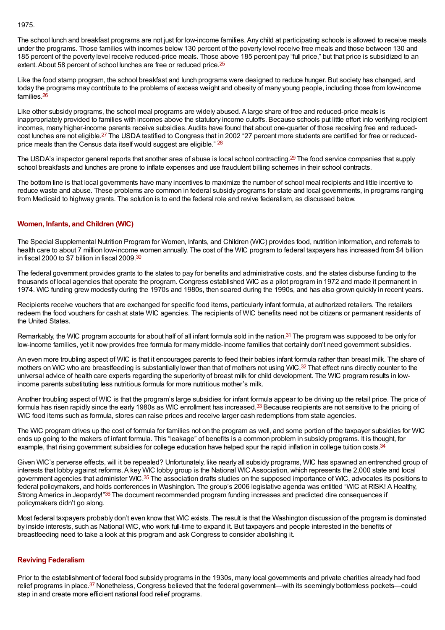1975.

The school lunch and breakfast programs are not just for low-income families. Any child at participating schools is allowed to receive meals under the programs. Those families with incomes below 130 percent of the poverty level receive free meals and those between 130 and 185 percent of the poverty level receive reduced-price meals. Those above 185 percent pay "full price," but that price is subsidized to an extent. About 58 percent of school lunches are free or reduced price.<sup>[25](#page-4-7)</sup>

<span id="page-2-3"></span><span id="page-2-2"></span>Like the food stamp program, the school breakfast and lunch programs were designed to reduce hunger. But society has changed, and today the programs may contribute to the problems of excess weight and obesity of many young people, including those from low-income families. [26](#page-4-8)

<span id="page-2-4"></span>Like other subsidy programs, the school meal programs are widely abused. A large share of free and reduced-price meals is inappropriately provided to families with incomes above the statutory income cutoffs. Because schools put little effort into verifying recipient incomes, many higher-income parents receive subsidies. Audits have found that about one-quarter of those receiving free and reduced-cost lunches are not eligible[.](#page-4-9)<sup>27</sup> The USDA testified to Congress that in 2002 "27 percent more students are certified for free or reduced-price meals than the Census data itself would suggest are eligible." <sup>[28](#page-4-10)</sup>

<span id="page-2-6"></span><span id="page-2-5"></span>The USDA's inspector general reports that another area of abuse is local school contracting.<sup>[29](#page-4-11)</sup> The food service companies that supply school breakfasts and lunches are prone to inflate expenses and use fraudulent billing schemes in their school contracts.

The bottom line is that local governments have many incentives to maximize the number of school meal recipients and little incentive to reduce waste and abuse. These problems are common in federal subsidy programs for state and local governments, in programs ranging from Medicaid to highway grants. The solution is to end the federal role and revive federalism, as discussed below.

# <span id="page-2-0"></span>**[Women, Infants, and Children \(WIC\)](#page-0-2)**

<span id="page-2-7"></span>The Special Supplemental Nutrition Program for Women, Infants, and Children (WIC) provides food, nutrition information, and referrals to health care to about 7 million low-income women annually. The cost of the WIC program to federal taxpayers has increased from \$4 billion in fiscal 2000 to \$7 billion in fiscal 2009. [30](#page-4-12)

The federal government provides grants to the states to pay for benefits and administrative costs, and the states disburse funding to the thousands of local agencies that operate the program. Congress established WIC as a pilot program in 1972 and made it permanent in 1974. WIC funding grew modestly during the 1970s and 1980s, then soared during the 1990s, and has also grown quickly in recent years.

Recipients receive vouchers that are exchanged for specific food items, particularly infant formula, at authorized retailers. The retailers redeem the food vouchers for cash at state WIC agencies. The recipients of WIC benefits need not be citizens or permanent residents of the United States.

<span id="page-2-8"></span>Remarkably, the WIC program accounts for about half of all infant formula sold in the nation.<sup>[31](#page-4-13)</sup> The program was supposed to be only for low-income families, yet it now provides free formula for many middle-income families that certainly don't need government subsidies.

<span id="page-2-9"></span>An even more troubling aspect of WIC is that it encourages parents to feed their babies infant formula rather than breast milk. The share of mothers on WIC who are breastfeeding is substantially lower than that of mothers not using WIC.<sup>[32](#page-4-14)</sup> That effect runs directly counter to the universal advice of health care experts regarding the superiority of breast milk for child development. The WIC program results in lowincome parents substituting less nutritious formula for more nutritious mother's milk.

<span id="page-2-10"></span>Another troubling aspect of WIC is that the program's large subsidies for infant formula appear to be driving up the retail price. The price of formula has risen rapidly since the early 1980s as WIC enrollment has increased[.](#page-4-15)<sup>33</sup> Because recipients are not sensitive to the pricing of WIC food items such as formula, stores can raise prices and receive larger cash redemptions from state agencies.

The WIC program drives up the cost of formula for families not on the program as well, and some portion of the taxpayer subsidies for WIC ends up going to the makers of infant formula. This "leakage" of benefits is a common problem in subsidy programs. It is thought, for example, that rising government subsidies for college education have helped spur the rapid inflation in college tuition costs.<sup>[34](#page-4-16)</sup>

<span id="page-2-12"></span><span id="page-2-11"></span>Given WIC's perverse effects, will it be repealed? Unfortunately, like nearly all subsidy programs, WIC has spawned an entrenched group of interests that lobby against reforms. A key WIC lobby group is the National WIC Association, which represents the 2,000 state and local government agencies that administer WIC.<sup>[35](#page-4-17)</sup> The association drafts studies on the supposed importance of WIC, advocates its positions to federal policymakers, and holds conferences in Washington. The group's 2006 legislative agenda was entitled "WIC at RISK! A Healthy, Strong America in Jeopardy!"<sup>[36](#page-4-18)</sup> The document recommended program funding increases and predicted dire consequences if policymakers didn't go along.

<span id="page-2-13"></span>Most federal taxpayers probably don't even know that WIC exists. The result is that the Washington discussion of the program is dominated by inside interests, such as National WIC, who work full-time to expand it. But taxpayers and people interested in the benefits of breastfeeding need to take a look at this program and ask Congress to consider abolishing it.

## <span id="page-2-1"></span>**[Reviving Federalism](#page-0-2)**

<span id="page-2-14"></span>Prior to the establishment of federal food subsidy programs in the 1930s, many local governments and private charities already had food relief programs in place.<sup>[37](#page-4-19)</sup> Nonetheless, Congress believed that the federal government—with its seemingly bottomless pockets—could step in and create more efficient national food relief programs.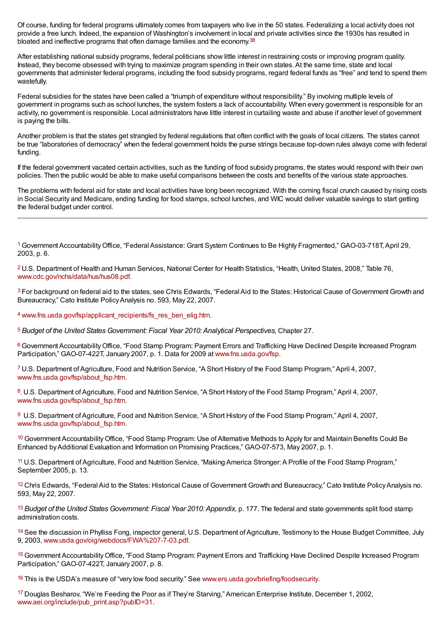<span id="page-3-17"></span>Of course, funding for federal programs ultimately comes from taxpayers who live in the 50 states. Federalizing a local activity does not provide a free lunch. Indeed, the expansion of Washington's involvement in local and private activities since the 1930s has resulted in bloated and ineffective programs that often damage families and the economy.<sup>[38](#page-4-20)</sup>

After establishing national subsidy programs, federal politicians show little interest in restraining costs or improving program quality. Instead, they become obsessed with trying to maximize program spending in their own states. At the same time, state and local governments that administer federal programs, including the food subsidy programs, regard federal funds as "free" and tend to spend them wastefully.

Federal subsidies for the states have been called a "triumph of expenditure without responsibility." By involving multiple levels of government in programs such as school lunches, the system fosters a lack of accountability. When every government is responsible for an activity, no government is responsible. Local administrators have little interest in curtailing waste and abuse if another level of government is paying the bills.

Another problem is that the states get strangled by federal regulations that often conflict with the goals of local citizens. The states cannot be true "laboratories of democracy" when the federal government holds the purse strings because top-down rules always come with federal funding.

If the federal government vacated certain activities, such as the funding of food subsidy programs, the states would respond with their own policies. Then the public would be able to make useful comparisons between the costs and benefits of the various state approaches.

The problems with federal aid for state and local activities have long been recognized. With the coming fiscal crunch caused by rising costs in Social Security and Medicare, ending funding for food stamps, school lunches, and WIC would deliver valuable savings to start getting the federal budget under control.

<span id="page-3-0"></span><sup>[1](#page-0-3)</sup> Government Accountability Office, "Federal Assistance: Grant System Continues to Be Highly Fragmented," GAO-03-718T, April 29, 2003, p. 6.

<span id="page-3-1"></span><sup>[2](#page-0-4)</sup> U.S. Department of Health and Human Services, National Center for Health Statistics, "Health, United States, 2008," Table 76, [www.cdc.gov/nchs/data/hus/hus08.pdf](http://www.cdc.gov/nchs/data/hus/hus08.pdf).

<span id="page-3-2"></span><sup>[3](#page-0-5)</sup> For background on federal aid to the states, see Chris Edwards, "Federal Aid to the States: Historical Cause of Government Growth and Bureaucracy," Cato Institute Policy Analysis no. 593, May 22, 2007.

<span id="page-3-3"></span>4 [www.fns.usda.gov/fsp/applicant\\_recipients/fs\\_res\\_ben\\_elig.htm](http://www.fns.usda.gov/fsp/applicant_recipients/fs_res_ben_elig.htm).

<span id="page-3-4"></span>*Budget of the United States Government: Fiscal Year 2010: Analytical Perspectives*, Chapter 27. [5](#page-0-7)

<span id="page-3-5"></span>[6](#page-0-8) Government Accountability Office, "Food Stamp Program: Payment Errors and Trafficking Have Declined Despite Increased Program Participation," GAO-07-422T, January 2007, p. 1. Data for 2009 at [www.fns.usda.gov/fsp](http://www.fns.usda.gov/fsp).

<span id="page-3-6"></span><sup>[7](#page-0-9)</sup> U.S. Department of Agriculture, Food and Nutrition Service, "A Short History of the Food Stamp Program," April 4, 2007, [www.fns.usda.gov/fsp/about\\_fsp.htm](http://www.fns.usda.gov/fsp/about_fsp.htm).

<span id="page-3-7"></span>[8](#page-0-10). U.S. Department of Agriculture, Food and Nutrition Service, "A Short History of the Food Stamp Program," April 4, 2007, [www.fns.usda.gov/fsp/about\\_fsp.htm](http://www.fns.usda.gov/fsp/about_fsp.htm).

<span id="page-3-8"></span>[9](#page-0-11) U.S. Department of Agriculture, Food and Nutrition Service, "A Short History of the Food Stamp Program," April 4, 2007, [www.fns.usda.gov/fsp/about\\_fsp.htm](http://www.fns.usda.gov/fsp/about_fsp.htm).

<span id="page-3-9"></span>[10](#page-1-1) Government Accountability Office, "Food Stamp Program: Use of Alternative Methods to Apply for and Maintain Benefits Could Be Enhanced by Additional Evaluation and Information on Promising Practices," GAO-07-573, May 2007, p. 1.

<span id="page-3-10"></span><sup>[11](#page-1-2)</sup> U.S. Department of Agriculture, Food and Nutrition Service, "Making America Stronger: A Profile of the Food Stamp Program," September 2005, p. 13.

<span id="page-3-11"></span><sup>[12](#page-1-3)</sup> Chris Edwards, "Federal Aid to the States: Historical Cause of Government Growth and Bureaucracy," Cato Institute Policy Analysis no. 593, May 22, 2007.

<span id="page-3-12"></span>[13](#page-1-4) Budget of the United States Government: Fiscal Year 2010: Appendix, p. 177. The federal and state governments split food stamp administration costs.

<span id="page-3-13"></span><sup>[14](#page-1-5)</sup> See the discussion in Phylliss Fong, inspector general, U.S. Department of Agriculture, Testimony to the House Budget Committee, July 9, 2003, [www.usda.gov/oig/webdocs/FWA%207-7-03.pdf](http://www.usda.gov/oig/webdocs/FWA 7-7-03.pdf).

<span id="page-3-14"></span><sup>[15](#page-1-6)</sup> Government Accountability Office, "Food Stamp Program: Payment Errors and Trafficking Have Declined Despite Increased Program Participation," GAO-07-422T, January 2007, p. 8.

<span id="page-3-15"></span><sup>16</sup> This is the USDA's measure of "very low food security." See [www.ers.usda.gov/briefing/foodsecurity](http://www.ers.usda.gov/briefing/foodsecurity).

<span id="page-3-16"></span>[17](#page-1-8) Douglas Besharov, "We're Feeding the Poor as if They're Starving," American Enterprise Institute, December 1, 2002, [www.aei.org/include/pub\\_print.asp?pubID=31](http://www.aei.org/include/pub_print.asp?pubID=31).